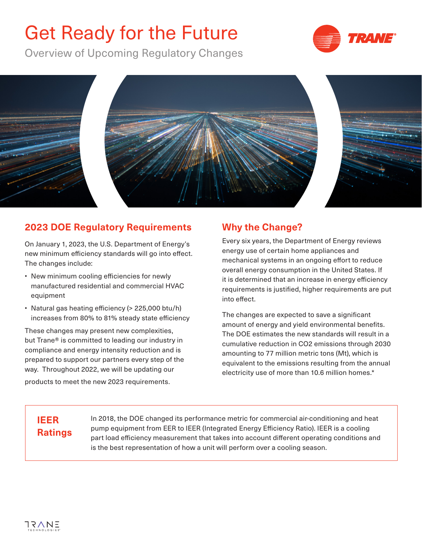# Get Ready for the Future

Overview of Upcoming Regulatory Changes





#### **2023 DOE Regulatory Requirements**

On January 1, 2023, the U.S. Department of Energy's new minimum efficiency standards will go into effect. The changes include:

- New minimum cooling efficiencies for newly manufactured residential and commercial HVAC equipment
- Natural gas heating efficiency (> 225,000 btu/h) increases from 80% to 81% steady state efficiency

These changes may present new complexities, but Trane® is committed to leading our industry in compliance and energy intensity reduction and is prepared to support our partners every step of the way. Throughout 2022, we will be updating our products to meet the new 2023 requirements.

## **Why the Change?**

Every six years, the Department of Energy reviews energy use of certain home appliances and mechanical systems in an ongoing effort to reduce overall energy consumption in the United States. If it is determined that an increase in energy efficiency requirements is justified, higher requirements are put into effect.

The changes are expected to save a significant amount of energy and yield environmental benefits. The DOE estimates the new standards will result in a cumulative reduction in CO2 emissions through 2030 amounting to 77 million metric tons (Mt), which is equivalent to the emissions resulting from the annual electricity use of more than 10.6 million homes.\*

# **IEER Ratings**

In 2018, the DOE changed its performance metric for commercial air-conditioning and heat pump equipment from EER to IEER (Integrated Energy Efficiency Ratio). IEER is a cooling part load efficiency measurement that takes into account different operating conditions and is the best representation of how a unit will perform over a cooling season.